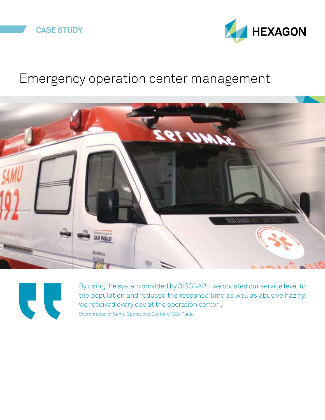



## Emergency operation center management





By using the system provided by SISGRAPH we boosted our service level to the population and reduced the response time as well as abusive hazing we received every day at the operation center". Coordination of Samu Operations Center of São Paulo